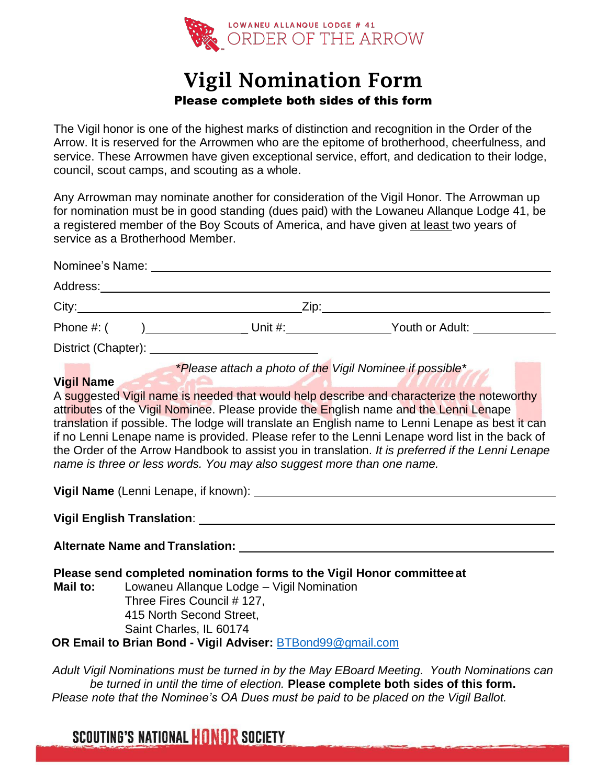

## Vigil Nomination Form Please complete both sides of this form

The Vigil honor is one of the highest marks of distinction and recognition in the Order of the Arrow. It is reserved for the Arrowmen who are the epitome of brotherhood, cheerfulness, and service. These Arrowmen have given exceptional service, effort, and dedication to their lodge, council, scout camps, and scouting as a whole.

Any Arrowman may nominate another for consideration of the Vigil Honor. The Arrowman up for nomination must be in good standing (dues paid) with the Lowaneu Allanque Lodge 41, be a registered member of the Boy Scouts of America, and have given at least two years of service as a Brotherhood Member.

|  | *Please attach a photo of the Vigil Nominee if possible*<br>A suggested Vigil name is needed that would help describe and characterize the noteworthy<br>attributes of the Vigil Nominee. Please provide the English name and the Lenni Lenape<br>translation if possible. The lodge will translate an English name to Lenni Lenape as best it can<br>if no Lenni Lenape name is provided. Please refer to the Lenni Lenape word list in the back of<br>the Order of the Arrow Handbook to assist you in translation. It is preferred if the Lenni Lenape<br>name is three or less words. You may also suggest more than one name.<br>Please send completed nomination forms to the Vigil Honor committee at<br>Lowaneu Allanque Lodge - Vigil Nomination<br>Three Fires Council # 127,<br>415 North Second Street,<br>Saint Charles, IL 60174<br>OR Email to Brian Bond - Vigil Adviser: <b>BTBond99@gmail.com</b> |
|--|---------------------------------------------------------------------------------------------------------------------------------------------------------------------------------------------------------------------------------------------------------------------------------------------------------------------------------------------------------------------------------------------------------------------------------------------------------------------------------------------------------------------------------------------------------------------------------------------------------------------------------------------------------------------------------------------------------------------------------------------------------------------------------------------------------------------------------------------------------------------------------------------------------------------|

*Adult Vigil Nominations must be turned in by the May EBoard Meeting. Youth Nominations can be turned in until the time of election.* **Please complete both sides of this form.** *Please note that the Nominee's OA Dues must be paid to be placed on the Vigil Ballot.*

**SCOUTING'S NATIONAL HONOR SOCIETY**